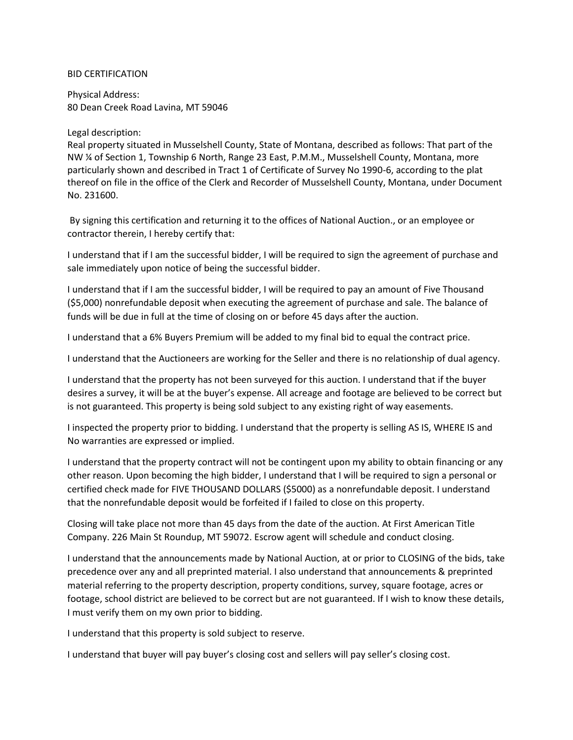## BID CERTIFICATION

Physical Address: 80 Dean Creek Road Lavina, MT 59046

## Legal description:

Real property situated in Musselshell County, State of Montana, described as follows: That part of the NW ¼ of Section 1, Township 6 North, Range 23 East, P.M.M., Musselshell County, Montana, more particularly shown and described in Tract 1 of Certificate of Survey No 1990-6, according to the plat thereof on file in the office of the Clerk and Recorder of Musselshell County, Montana, under Document No. 231600.

By signing this certification and returning it to the offices of National Auction., or an employee or contractor therein, I hereby certify that:

I understand that if I am the successful bidder, I will be required to sign the agreement of purchase and sale immediately upon notice of being the successful bidder.

I understand that if I am the successful bidder, I will be required to pay an amount of Five Thousand (\$5,000) nonrefundable deposit when executing the agreement of purchase and sale. The balance of funds will be due in full at the time of closing on or before 45 days after the auction.

I understand that a 6% Buyers Premium will be added to my final bid to equal the contract price.

I understand that the Auctioneers are working for the Seller and there is no relationship of dual agency.

I understand that the property has not been surveyed for this auction. I understand that if the buyer desires a survey, it will be at the buyer's expense. All acreage and footage are believed to be correct but is not guaranteed. This property is being sold subject to any existing right of way easements.

I inspected the property prior to bidding. I understand that the property is selling AS IS, WHERE IS and No warranties are expressed or implied.

I understand that the property contract will not be contingent upon my ability to obtain financing or any other reason. Upon becoming the high bidder, I understand that I will be required to sign a personal or certified check made for FIVE THOUSAND DOLLARS (\$5000) as a nonrefundable deposit. I understand that the nonrefundable deposit would be forfeited if I failed to close on this property.

Closing will take place not more than 45 days from the date of the auction. At First American Title Company. 226 Main St Roundup, MT 59072. Escrow agent will schedule and conduct closing.

I understand that the announcements made by National Auction, at or prior to CLOSING of the bids, take precedence over any and all preprinted material. I also understand that announcements & preprinted material referring to the property description, property conditions, survey, square footage, acres or footage, school district are believed to be correct but are not guaranteed. If I wish to know these details, I must verify them on my own prior to bidding.

I understand that this property is sold subject to reserve.

I understand that buyer will pay buyer's closing cost and sellers will pay seller's closing cost.